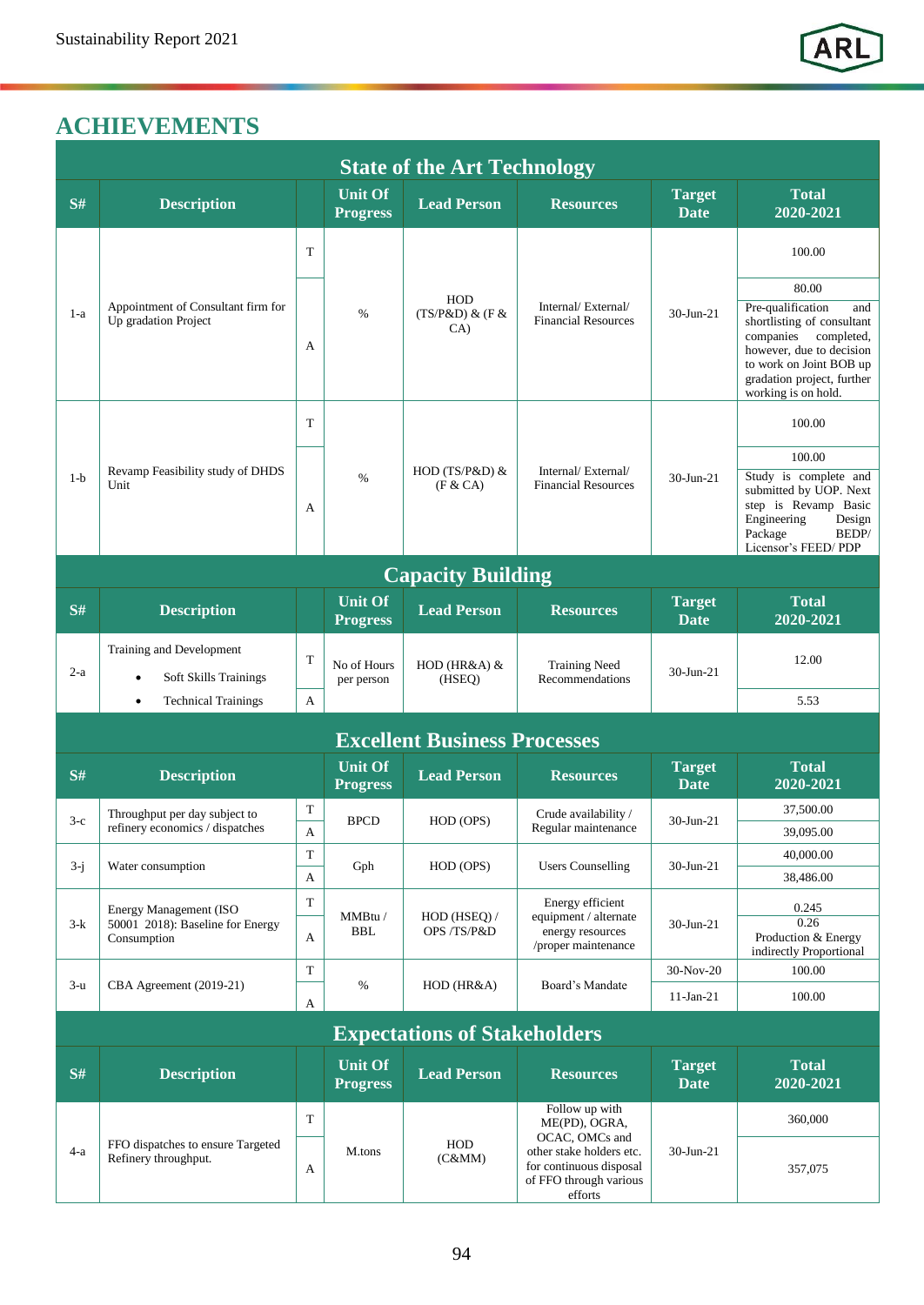## **ACHIEVEMENTS**

| <b>State of the Art Technology</b> |                                                                                  |        |                                   |                                         |                                                                                                                                               |                              |                                                                                                                                                                                                        |  |  |  |  |  |  |
|------------------------------------|----------------------------------------------------------------------------------|--------|-----------------------------------|-----------------------------------------|-----------------------------------------------------------------------------------------------------------------------------------------------|------------------------------|--------------------------------------------------------------------------------------------------------------------------------------------------------------------------------------------------------|--|--|--|--|--|--|
| S#                                 | <b>Description</b>                                                               |        | <b>Unit Of</b><br><b>Progress</b> | <b>Lead Person</b>                      | <b>Resources</b>                                                                                                                              | <b>Target</b><br><b>Date</b> | <b>Total</b><br>2020-2021                                                                                                                                                                              |  |  |  |  |  |  |
| $1-a$                              | Appointment of Consultant firm for<br>Up gradation Project                       | T      | $\%$                              | <b>HOD</b><br>$(TS/P&D)$ & $(F&$<br>CA) | Internal/External/<br><b>Financial Resources</b>                                                                                              | $30$ -Jun-21                 | 100.00                                                                                                                                                                                                 |  |  |  |  |  |  |
|                                    |                                                                                  | A      |                                   |                                         |                                                                                                                                               |                              | 80.00<br>Pre-qualification<br>and<br>shortlisting of consultant<br>companies<br>completed,<br>however, due to decision<br>to work on Joint BOB up<br>gradation project, further<br>working is on hold. |  |  |  |  |  |  |
| $1-b$                              | Revamp Feasibility study of DHDS<br>Unit                                         | T      | $\%$                              | HOD (TS/P&D) &<br>(F & C A)             | Internal/External/<br><b>Financial Resources</b>                                                                                              | $30$ -Jun-21                 | 100.00                                                                                                                                                                                                 |  |  |  |  |  |  |
|                                    |                                                                                  | A      |                                   |                                         |                                                                                                                                               |                              | 100.00<br>Study is complete and<br>submitted by UOP. Next<br>step is Revamp Basic<br>Engineering<br>Design<br>Package<br>BEDP/<br>Licensor's FEED/PDP                                                  |  |  |  |  |  |  |
|                                    | <b>Capacity Building</b>                                                         |        |                                   |                                         |                                                                                                                                               |                              |                                                                                                                                                                                                        |  |  |  |  |  |  |
| S#                                 | <b>Description</b>                                                               |        | <b>Unit Of</b><br><b>Progress</b> | <b>Lead Person</b>                      | <b>Resources</b>                                                                                                                              | <b>Target</b><br>Date        | <b>Total</b><br>2020-2021                                                                                                                                                                              |  |  |  |  |  |  |
| $2-a$                              | Training and Development<br><b>Soft Skills Trainings</b><br>$\bullet$            | T      | No of Hours<br>per person         | HOD (HR&A) &<br>(HSEQ)                  | <b>Training Need</b><br>Recommendations                                                                                                       | $30 - Jun - 21$              | 12.00                                                                                                                                                                                                  |  |  |  |  |  |  |
|                                    | <b>Technical Trainings</b><br>$\bullet$                                          | A      |                                   |                                         |                                                                                                                                               |                              | 5.53                                                                                                                                                                                                   |  |  |  |  |  |  |
|                                    | <b>Excellent Business Processes</b>                                              |        |                                   |                                         |                                                                                                                                               |                              |                                                                                                                                                                                                        |  |  |  |  |  |  |
| S#                                 | <b>Description</b>                                                               |        | <b>Unit Of</b><br><b>Progress</b> | <b>Lead Person</b>                      | <b>Resources</b>                                                                                                                              | <b>Target</b><br><b>Date</b> | <b>Total</b><br>2020-2021                                                                                                                                                                              |  |  |  |  |  |  |
| $3-c$                              | Throughput per day subject to<br>refinery economics / dispatches                 | T<br>A | <b>BPCD</b>                       | HOD (OPS)                               | Crude availability /<br>Regular maintenance                                                                                                   | $30$ -Jun-21                 | 37,500.00<br>39,095.00                                                                                                                                                                                 |  |  |  |  |  |  |
| $3-j$                              | Water consumption                                                                | T<br>A | Gph                               | HOD (OPS)                               | <b>Users Counselling</b>                                                                                                                      | 30-Jun-21                    | 40,000.00<br>38,486.00                                                                                                                                                                                 |  |  |  |  |  |  |
| $3-k$                              | <b>Energy Management (ISO</b><br>50001 2018): Baseline for Energy<br>Consumption | T<br>A | MMBtu /<br><b>BBL</b>             | HOD (HSEQ) /<br>OPS/TS/P&D              | Energy efficient<br>equipment / alternate<br>energy resources<br>/proper maintenance                                                          | 30-Jun-21                    | 0.245<br>0.26<br>Production & Energy<br>indirectly Proportional                                                                                                                                        |  |  |  |  |  |  |
| $3-u$                              | CBA Agreement (2019-21)                                                          | T      | $\%$                              | $HOD$ ( $HR&A$ )                        | Board's Mandate                                                                                                                               | 30-Nov-20                    | 100.00                                                                                                                                                                                                 |  |  |  |  |  |  |
|                                    |                                                                                  | A      |                                   |                                         |                                                                                                                                               | $11$ -Jan-21                 | 100.00                                                                                                                                                                                                 |  |  |  |  |  |  |
|                                    |                                                                                  |        |                                   | <b>Expectations of Stakeholders</b>     |                                                                                                                                               |                              |                                                                                                                                                                                                        |  |  |  |  |  |  |
| S#                                 | <b>Description</b>                                                               |        | <b>Unit Of</b><br><b>Progress</b> | <b>Lead Person</b>                      | <b>Resources</b>                                                                                                                              | <b>Target</b><br><b>Date</b> | <b>Total</b><br>$2020 - 2021$                                                                                                                                                                          |  |  |  |  |  |  |
| $4-a$                              | FFO dispatches to ensure Targeted<br>Refinery throughput.                        | T      | M.tons                            | <b>HOD</b><br>(C&MM)                    | Follow up with<br>ME(PD), OGRA,<br>OCAC, OMCs and<br>other stake holders etc.<br>for continuous disposal<br>of FFO through various<br>efforts | 30-Jun-21                    | 360,000                                                                                                                                                                                                |  |  |  |  |  |  |
|                                    |                                                                                  | A      |                                   |                                         |                                                                                                                                               |                              | 357,075                                                                                                                                                                                                |  |  |  |  |  |  |